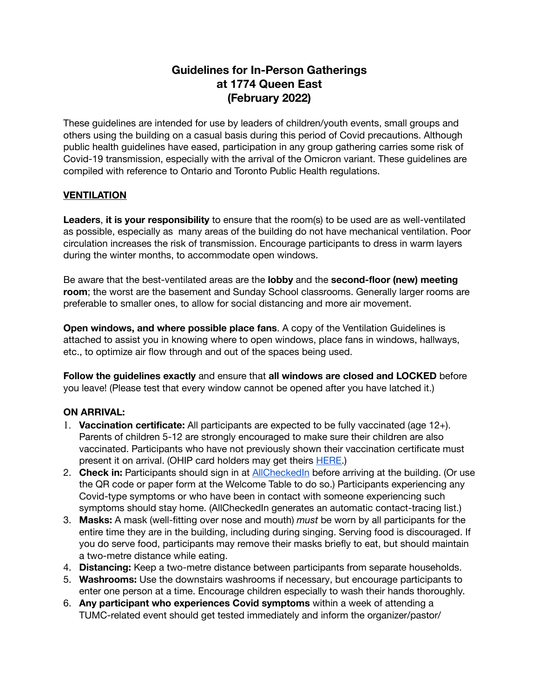## **Guidelines for In-Person Gatherings at 1774 Queen East (February 2022)**

These guidelines are intended for use by leaders of children/youth events, small groups and others using the building on a casual basis during this period of Covid precautions. Although public health guidelines have eased, participation in any group gathering carries some risk of Covid-19 transmission, especially with the arrival of the Omicron variant. These guidelines are compiled with reference to Ontario and Toronto Public Health regulations.

## **VENTILATION**

**Leaders**, **it is your responsibility** to ensure that the room(s) to be used are as well-ventilated as possible, especially as many areas of the building do not have mechanical ventilation. Poor circulation increases the risk of transmission. Encourage participants to dress in warm layers during the winter months, to accommodate open windows.

Be aware that the best-ventilated areas are the **lobby** and the **second-floor (new) meeting room**; the worst are the basement and Sunday School classrooms. Generally larger rooms are preferable to smaller ones, to allow for social distancing and more air movement.

**Open windows, and where possible place fans**. A copy of the Ventilation Guidelines is attached to assist you in knowing where to open windows, place fans in windows, hallways, etc., to optimize air flow through and out of the spaces being used.

**Follow the guidelines exactly** and ensure that **all windows are closed and LOCKED** before you leave! (Please test that every window cannot be opened after you have latched it.)

## **ON ARRIVAL:**

- 1. **Vaccination certificate:** All participants are expected to be fully vaccinated (age 12+). Parents of children 5-12 are strongly encouraged to make sure their children are also vaccinated. Participants who have not previously shown their vaccination certificate must present it on arrival. (OHIP card holders may get theirs [HERE](https://covid-19.ontario.ca/get-proof/).)
- 2. **Check in:** Participants should sign in at [AllCheckedIn](https://allchecked.in/8NUfGr73Ba) before arriving at the building. (Or use the QR code or paper form at the Welcome Table to do so.) Participants experiencing any Covid-type symptoms or who have been in contact with someone experiencing such symptoms should stay home. (AllCheckedIn generates an automatic contact-tracing list.)
- 3. **Masks:** A mask (well-fitting over nose and mouth) *must* be worn by all participants for the entire time they are in the building, including during singing. Serving food is discouraged. If you do serve food, participants may remove their masks briefly to eat, but should maintain a two-metre distance while eating.
- 4. **Distancing:** Keep a two-metre distance between participants from separate households.
- 5. **Washrooms:** Use the downstairs washrooms if necessary, but encourage participants to enter one person at a time. Encourage children especially to wash their hands thoroughly.
- 6. **Any participant who experiences Covid symptoms** within a week of attending a TUMC-related event should get tested immediately and inform the organizer/pastor/